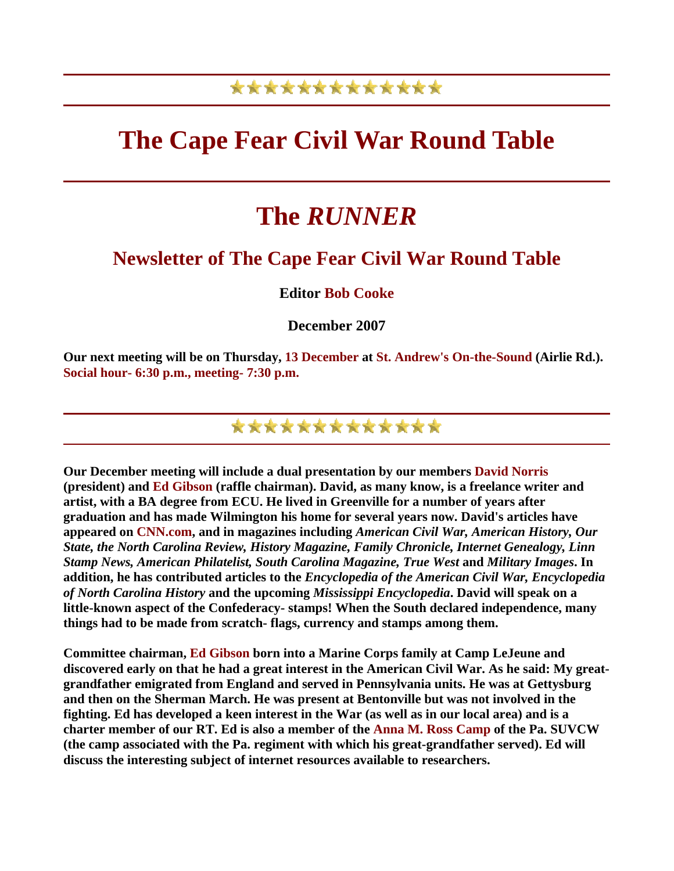### \*\*\*\*\*\*\*\*\*\*\*\*\*

## **The Cape Fear Civil War Round Table**

# **The** *RUNNER*

### **Newsletter of The Cape Fear Civil War Round Table**

#### **Editor Bob Cooke**

**December 2007** 

**Our next meeting will be on Thursday, 13 December at St. Andrew's On-the-Sound (Airlie Rd.). Social hour- 6:30 p.m., meeting- 7:30 p.m.** 

### \*\*\*\*\*\*\*\*\*\*\*\*\*

**Our December meeting will include a dual presentation by our members David Norris (president) and Ed Gibson (raffle chairman). David, as many know, is a freelance writer and artist, with a BA degree from ECU. He lived in Greenville for a number of years after graduation and has made Wilmington his home for several years now. David's articles have appeared on CNN.com, and in magazines including** *American Civil War, American History, Our State, the North Carolina Review, History Magazine, Family Chronicle, Internet Genealogy, Linn Stamp News, American Philatelist, South Carolina Magazine, True West* **and** *Military Images***. In addition, he has contributed articles to the** *Encyclopedia of the American Civil War, Encyclopedia of North Carolina History* **and the upcoming** *Mississippi Encyclopedia***. David will speak on a little-known aspect of the Confederacy- stamps! When the South declared independence, many things had to be made from scratch- flags, currency and stamps among them.** 

**Committee chairman, Ed Gibson born into a Marine Corps family at Camp LeJeune and discovered early on that he had a great interest in the American Civil War. As he said: My greatgrandfather emigrated from England and served in Pennsylvania units. He was at Gettysburg and then on the Sherman March. He was present at Bentonville but was not involved in the fighting. Ed has developed a keen interest in the War (as well as in our local area) and is a charter member of our RT. Ed is also a member of the Anna M. Ross Camp of the Pa. SUVCW (the camp associated with the Pa. regiment with which his great-grandfather served). Ed will discuss the interesting subject of internet resources available to researchers.**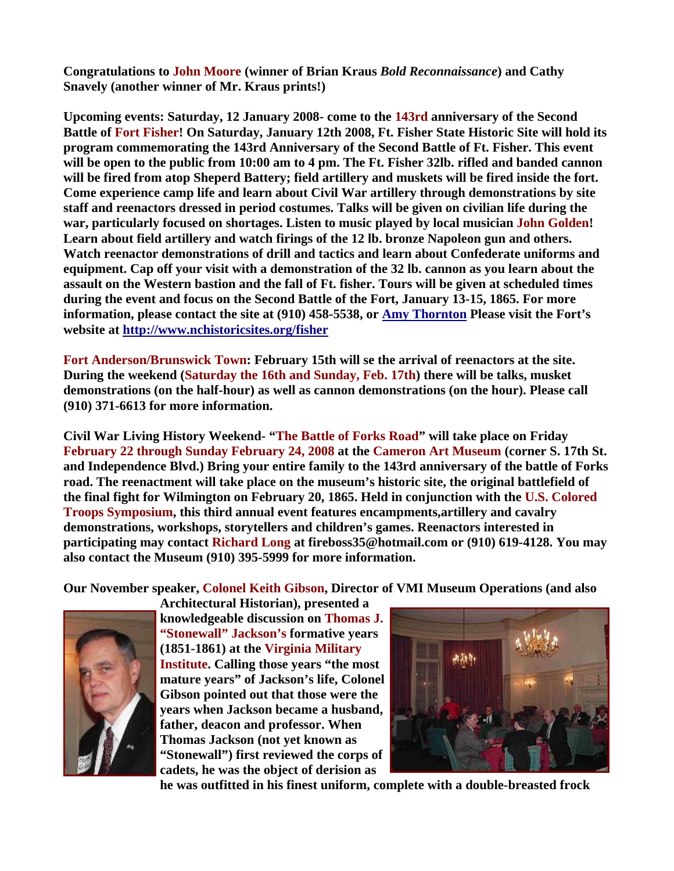**Congratulations to John Moore (winner of Brian Kraus** *Bold Reconnaissance***) and Cathy Snavely (another winner of Mr. Kraus prints!)** 

**Upcoming events: Saturday, 12 January 2008- come to the 143rd anniversary of the Second Battle of Fort Fisher! On Saturday, January 12th 2008, Ft. Fisher State Historic Site will hold its program commemorating the 143rd Anniversary of the Second Battle of Ft. Fisher. This event will be open to the public from 10:00 am to 4 pm. The Ft. Fisher 32lb. rifled and banded cannon will be fired from atop Sheperd Battery; field artillery and muskets will be fired inside the fort. Come experience camp life and learn about Civil War artillery through demonstrations by site staff and reenactors dressed in period costumes. Talks will be given on civilian life during the war, particularly focused on shortages. Listen to music played by local musician John Golden! Learn about field artillery and watch firings of the 12 lb. bronze Napoleon gun and others. Watch reenactor demonstrations of drill and tactics and learn about Confederate uniforms and equipment. Cap off your visit with a demonstration of the 32 lb. cannon as you learn about the assault on the Western bastion and the fall of Ft. fisher. Tours will be given at scheduled times during the event and focus on the Second Battle of the Fort, January 13-15, 1865. For more information, please contact the site at (910) 458-5538, or [Amy Thornton](mailto:amy.thornton@ncmail.net) Please visit the Fort's website at <http://www.nchistoricsites.org/fisher>** 

**Fort Anderson/Brunswick Town: February 15th will se the arrival of reenactors at the site. During the weekend (Saturday the 16th and Sunday, Feb. 17th) there will be talks, musket demonstrations (on the half-hour) as well as cannon demonstrations (on the hour). Please call (910) 371-6613 for more information.** 

**Civil War Living History Weekend- "The Battle of Forks Road" will take place on Friday February 22 through Sunday February 24, 2008 at the Cameron Art Museum (corner S. 17th St. and Independence Blvd.) Bring your entire family to the 143rd anniversary of the battle of Forks road. The reenactment will take place on the museum's historic site, the original battlefield of the final fight for Wilmington on February 20, 1865. Held in conjunction with the U.S. Colored Troops Symposium, this third annual event features encampments,artillery and cavalry demonstrations, workshops, storytellers and children's games. Reenactors interested in participating may contact Richard Long at fireboss35@hotmail.com or (910) 619-4128. You may also contact the Museum (910) 395-5999 for more information.** 

**Our November speaker, Colonel Keith Gibson, Director of VMI Museum Operations (and also** 



**Architectural Historian), presented a knowledgeable discussion on Thomas J. "Stonewall" Jackson's formative years (1851-1861) at the Virginia Military Institute. Calling those years "the most mature years" of Jackson's life, C olonel Gibson pointed out that those were the years when Jackson became a husband, father, deacon and professor. When Thomas Jackson (not yet known as "Stonewall") first reviewed the corps of cadets, he was the object of derision as** 



**he was outfitted in his finest uni form, complete with a double-breasted frock**